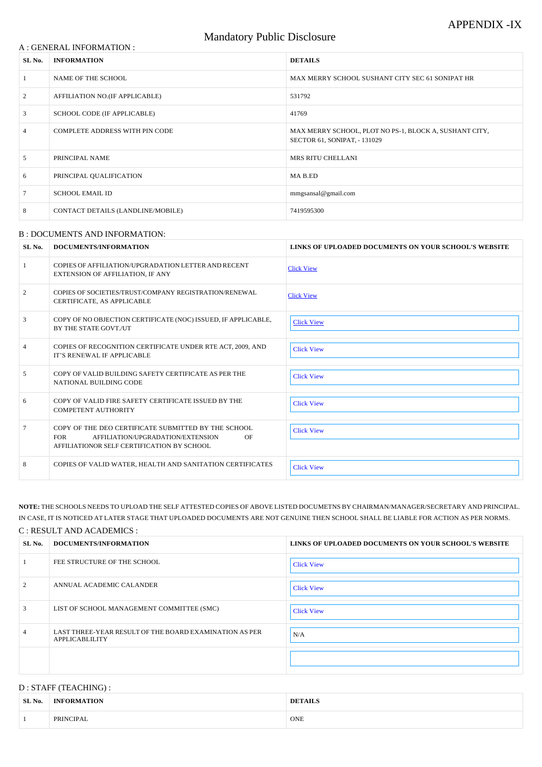#### A : GENERAL INFORMATION :

# Mandatory Public Disclosure

| SL No.         | <b>INFORMATION</b>                | <b>DETAILS</b>                                                                         |
|----------------|-----------------------------------|----------------------------------------------------------------------------------------|
|                | NAME OF THE SCHOOL                | MAX MERRY SCHOOL SUSHANT CITY SEC 61 SONIPAT HR                                        |
| 2              | AFFILIATION NO.(IF APPLICABLE)    | 531792                                                                                 |
| 3              | SCHOOL CODE (IF APPLICABLE)       | 41769                                                                                  |
| $\overline{4}$ | COMPLETE ADDRESS WITH PIN CODE    | MAX MERRY SCHOOL, PLOT NO PS-1, BLOCK A, SUSHANT CITY,<br>SECTOR 61, SONIPAT, - 131029 |
| 5              | PRINCIPAL NAME                    | <b>MRS RITU CHELLANI</b>                                                               |
| 6              | PRINCIPAL QUALIFICATION           | MA B.ED                                                                                |
|                | <b>SCHOOL EMAIL ID</b>            | mmgsansal@gmail.com                                                                    |
| 8              | CONTACT DETAILS (LANDLINE/MOBILE) | 7419595300                                                                             |

#### B : DOCUMENTS AND INFORMATION:

| SL No. | DOCUMENTS/INFORMATION                                                                                                                                      | LINKS OF UPLOADED DOCUMENTS ON YOUR SCHOOL'S WEBSITE |
|--------|------------------------------------------------------------------------------------------------------------------------------------------------------------|------------------------------------------------------|
|        | COPIES OF AFFILIATION/UPGRADATION LETTER AND RECENT<br><b>EXTENSION OF AFFILIATION, IF ANY</b>                                                             | <b>Click View</b>                                    |
| 2      | COPIES OF SOCIETIES/TRUST/COMPANY REGISTRATION/RENEWAL<br>CERTIFICATE, AS APPLICABLE                                                                       | <b>Click View</b>                                    |
| 3      | COPY OF NO OBJECTION CERTIFICATE (NOC) ISSUED, IF APPLICABLE,<br>BY THE STATE GOVT./UT                                                                     | <b>Click View</b>                                    |
| 4      | COPIES OF RECOGNITION CERTIFICATE UNDER RTE ACT, 2009, AND<br>IT'S RENEWAL IF APPLICABLE                                                                   | <b>Click View</b>                                    |
| 5      | COPY OF VALID BUILDING SAFETY CERTIFICATE AS PER THE<br>NATIONAL BUILDING CODE                                                                             | <b>Click View</b>                                    |
| 6      | COPY OF VALID FIRE SAFETY CERTIFICATE ISSUED BY THE<br><b>COMPETENT AUTHORITY</b>                                                                          | <b>Click View</b>                                    |
| 7      | COPY OF THE DEO CERTIFICATE SUBMITTED BY THE SCHOOL<br><b>FOR</b><br>AFFILIATION/UPGRADATION/EXTENSION<br>OF<br>AFFILIATIONOR SELF CERTIFICATION BY SCHOOL | <b>Click View</b>                                    |
| 8      | COPIES OF VALID WATER, HEALTH AND SANITATION CERTIFICATES                                                                                                  | <b>Click View</b>                                    |

| 2              | ANNUAL ACADEMIC CALANDER                                                 | <b>Click View</b> |
|----------------|--------------------------------------------------------------------------|-------------------|
| 3              | LIST OF SCHOOL MANAGEMENT COMMITTEE (SMC)                                | <b>Click View</b> |
| $\overline{4}$ | LAST THREE-YEAR RESULT OF THE BOARD EXAMINATION AS PER<br>APPLICABLILITY | N/A               |
|                |                                                                          |                   |

**NOTE:** THE SCHOOLS NEEDS TO UPLOAD THE SELF ATTESTED COPIES OF ABOVE LISTED DOCUMETNS BY CHAIRMAN/MANAGER/SECRETARY AND PRINCIPAL. IN CASE, IT IS NOTICED AT LATER STAGE THAT UPLOADED DOCUMENTS ARE NOT GENUINE THEN SCHOOL SHALL BE LIABLE FOR ACTION AS PER NORMS.

## C : RESULT AND ACADEMICS :

| SL No. | DOCUMENTS/INFORMATION       | LINKS OF UPLOADED DOCUMENTS ON YOUR SCHOOL'S WEBSITE |
|--------|-----------------------------|------------------------------------------------------|
|        | FEE STRUCTURE OF THE SCHOOL | <b>Click View</b>                                    |
|        |                             |                                                      |

### D : STAFF (TEACHING) :

| SL No. | <b>INFORMATION</b> | <b>DETAILS</b> |
|--------|--------------------|----------------|
|        | PRINCIPAL          | ONE            |